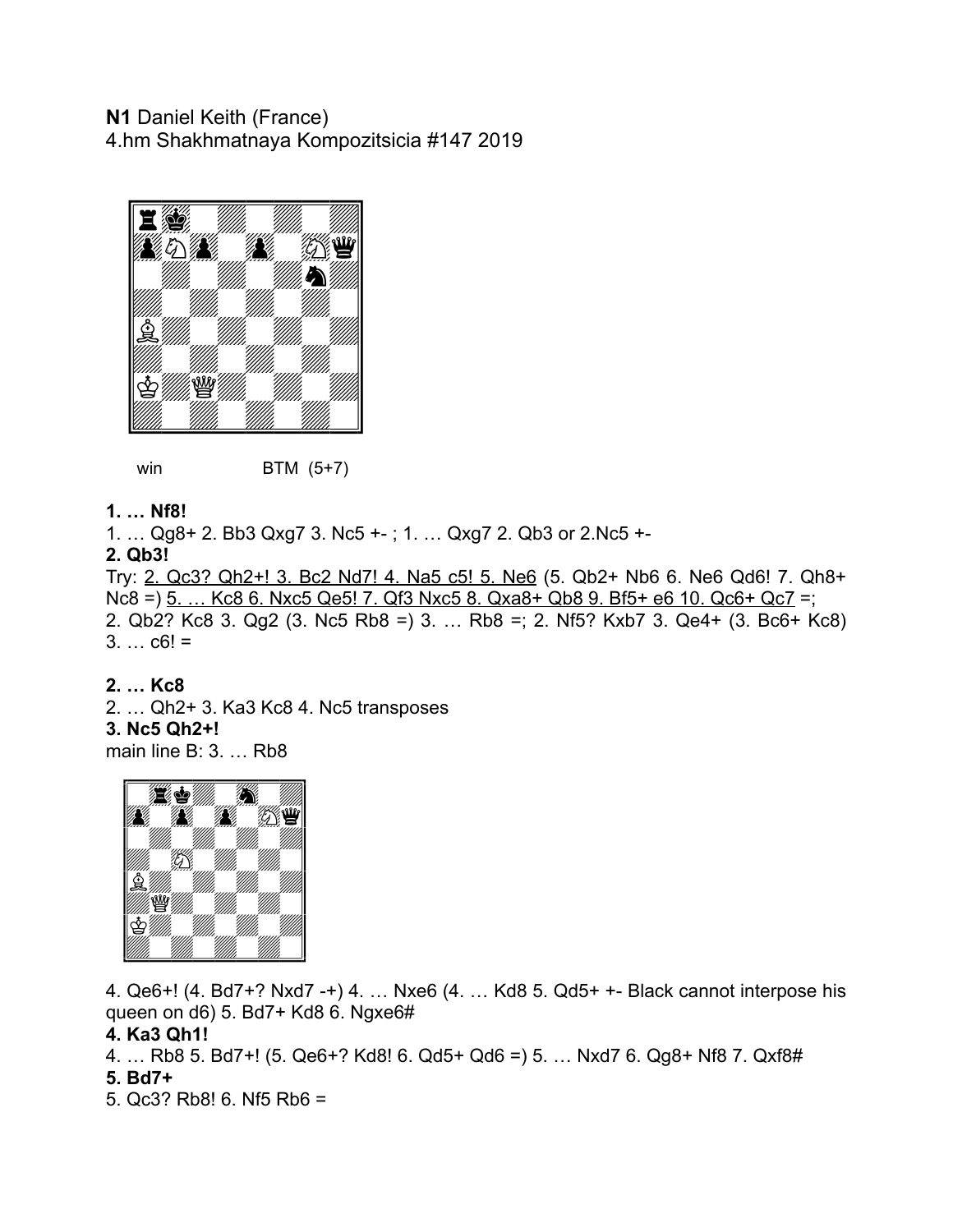## **N1** Daniel Keith (France) 4.hm Shakhmatnaya Kompozitsicia #147 2019



*win* **BTM** (5+7)

### **1. … Nf8!**

1. … Qg8+ 2. Bb3 Qxg7 3. Nc5 +- ; 1. … Qxg7 2. Qb3 or 2.Nc5 +-

**2. Qb3!** 

Try: 2. Qc3? Qh2+! 3. Bc2 Nd7! 4. Na5 c5! 5. Ne6 (5. Qb2+ Nb6 6. Ne6 Qd6! 7. Qh8+ Nc8 =) 5. … Kc8 6. Nxc5 Qe5! 7. Qf3 Nxc5 8. Qxa8+ Qb8 9. Bf5+ e6 10. Qc6+ Qc7 =; 2. Qb2? Kc8 3. Qg2 (3. Nc5 Rb8 =) 3. … Rb8 =; 2. Nf5? Kxb7 3. Qe4+ (3. Bc6+ Kc8)  $3. \ldots$  c6! =

### **2. … Kc8**

2. … Qh2+ 3. Ka3 Kc8 4. Nc5 transposes **3. Nc5 Qh2+!**  main line B: 3. … Rb8



4. Qe6+! (4. Bd7+? Nxd7 -+) 4. … Nxe6 (4. … Kd8 5. Qd5+ +- Black cannot interpose his queen on d6) 5. Bd7+ Kd8 6. Ngxe6#

### **4. Ka3 Qh1!**

4. … Rb8 5. Bd7+! (5. Qe6+? Kd8! 6. Qd5+ Qd6 =) 5. … Nxd7 6. Qg8+ Nf8 7. Qxf8#

## **5. Bd7+**

5. Qc3? Rb8! 6. Nf5 Rb6 =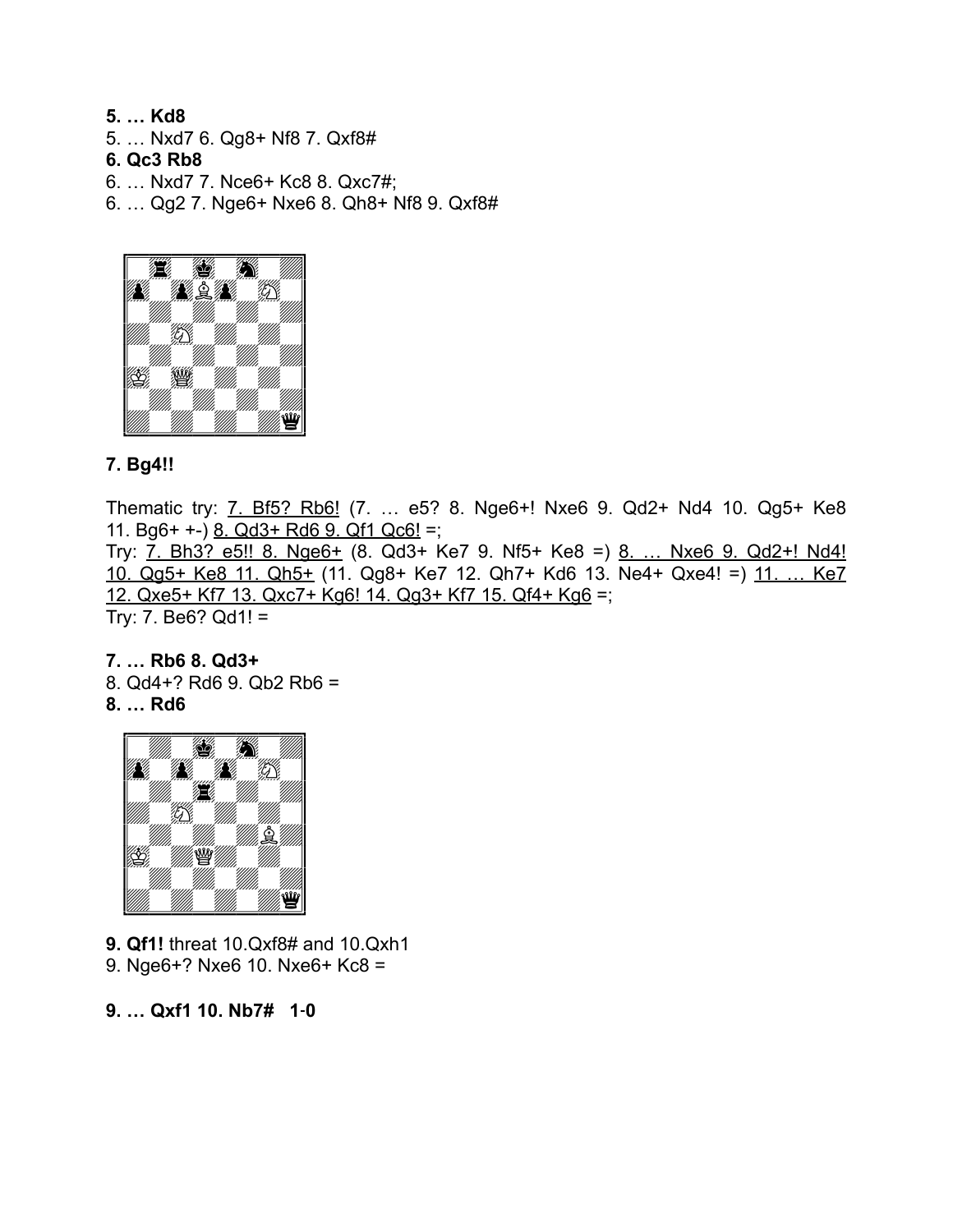**5. … Kd8**  5. … Nxd7 6. Qg8+ Nf8 7. Qxf8#

**6. Qc3 Rb8** 

6. … Nxd7 7. Nce6+ Kc8 8. Qxc7#;

6. … Qg2 7. Nge6+ Nxe6 8. Qh8+ Nf8 9. Qxf8#



# **7. Bg4!!**

Thematic try: **7. Bf5? Rb6!** (7. ... e5? 8. Nge6+! Nxe6 9. Qd2+ Nd4 10. Qg5+ Ke8 11. Bg6+ +-) 8. Qd3+ Rd6 9. Qf1 Qc6! =; Try: 7. Bh3? e5!! 8. Nge6+ (8. Qd3+ Ke7 9. Nf5+ Ke8 =) 8. ... Nxe6 9. Qd2+! Nd4! 10. Qg5+ Ke8 11. Qh5+ (11. Qg8+ Ke7 12. Qh7+ Kd6 13. Ne4+ Qxe4! =) 11. … Ke7 12. Qxe5+ Kf7 13. Qxc7+ Kg6! 14. Qg3+ Kf7 15. Qf4+ Kg6 =; Try:  $7. Be6? Qd1! =$ 

**7. … Rb6 8. Qd3+**  8. Qd4+? Rd6 9. Qb2 Rb6 = **8. … Rd6** 



**9. Qf1!** threat 10.Qxf8# and 10.Qxh1 9. Nge6+? Nxe6 10. Nxe6+ Kc8 =

**9. … Qxf1 10. Nb7# 1‑0**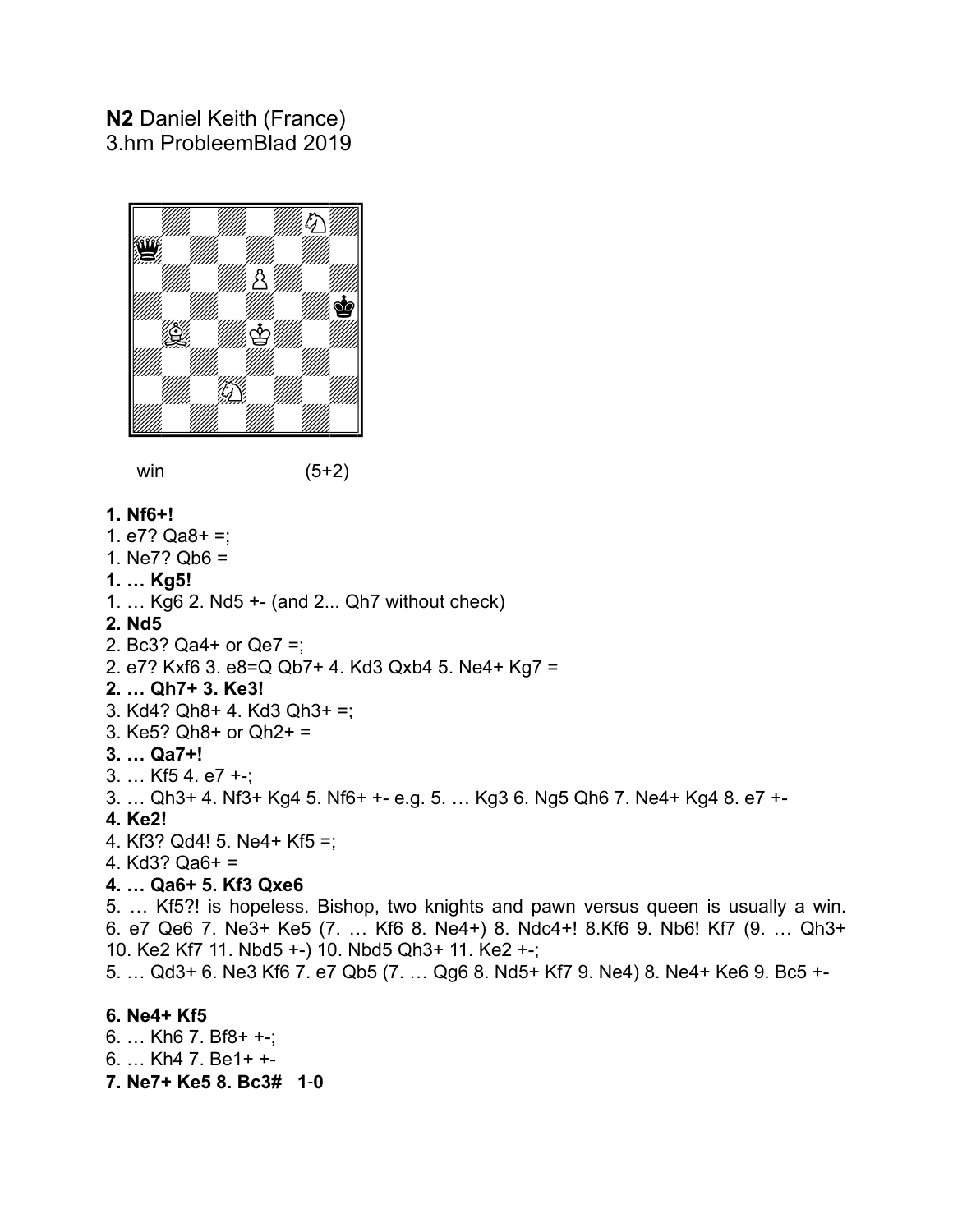# **N2** Daniel Keith (France) 3.hm ProbleemBlad 2019



win (5+2)

#### **1. Nf6+!**

- 1.  $e7?$  Qa8+ =;
- 1. Ne7? Qb6 =
- **1. … Kg5!**
- 1. … Kg6 2. Nd5 +- (and 2... Qh7 without check)

#### **2. Nd5**

- 2. Bc3? Qa4+ or Qe7 =;
- 2. e7? Kxf6 3. e8=Q Qb7+ 4. Kd3 Qxb4 5. Ne4+ Kg7 =

### **2. … Qh7+ 3. Ke3!**

- 3. Kd4? Qh8+ 4. Kd3 Qh3+ =;
- 3. Ke5? Qh8+ or Qh2+ =
- **3. … Qa7+!**
- 3. … Kf5 4. e7 +-;
- 3. … Qh3+ 4. Nf3+ Kg4 5. Nf6+ +- e.g. 5. … Kg3 6. Ng5 Qh6 7. Ne4+ Kg4 8. e7 +-

### **4. Ke2!**

- 4. Kf3? Qd4! 5. Ne4+ Kf5 =;
- 4. Kd3? Qa6+ =

## **4. … Qa6+ 5. Kf3 Qxe6**

5. … Kf5?! is hopeless. Bishop, two knights and pawn versus queen is usually a win. 6. e7 Qe6 7. Ne3+ Ke5 (7. … Kf6 8. Ne4+) 8. Ndc4+! 8.Kf6 9. Nb6! Kf7 (9. … Qh3+ 10. Ke2 Kf7 11. Nbd5 +-) 10. Nbd5 Qh3+ 11. Ke2 +-;

5. … Qd3+ 6. Ne3 Kf6 7. e7 Qb5 (7. … Qg6 8. Nd5+ Kf7 9. Ne4) 8. Ne4+ Ke6 9. Bc5 +-

## **6. Ne4+ Kf5**

6. … Kh6 7. Bf8+ +-; 6. … Kh4 7. Be1+ +- **7. Ne7+ Ke5 8. Bc3# 1‑0**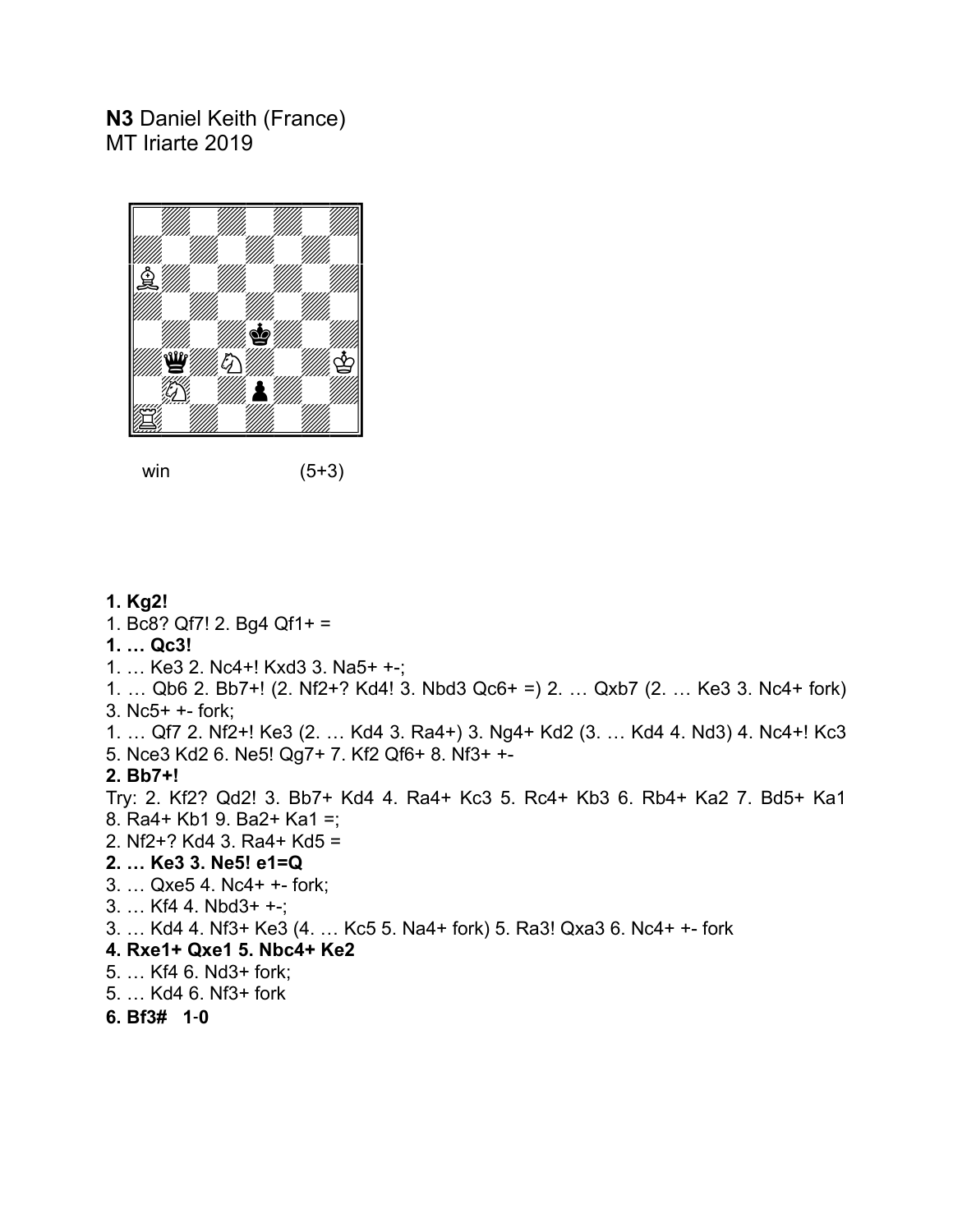# **N3** Daniel Keith (France) MT Iriarte 2019



win (5+3)

### **1. Kg2!**

- 1. Bc8? Qf7! 2. Bg4 Qf1+ =
- **1. … Qc3!**
- 1. … Ke3 2. Nc4+! Kxd3 3. Na5+ +-;

1. … Qb6 2. Bb7+! (2. Nf2+? Kd4! 3. Nbd3 Qc6+ =) 2. … Qxb7 (2. … Ke3 3. Nc4+ fork) 3. Nc5+ +- fork;

1. … Qf7 2. Nf2+! Ke3 (2. … Kd4 3. Ra4+) 3. Ng4+ Kd2 (3. … Kd4 4. Nd3) 4. Nc4+! Kc3 5. Nce3 Kd2 6. Ne5! Qg7+ 7. Kf2 Qf6+ 8. Nf3+ +-

### **2. Bb7+!**

Try: 2. Kf2? Qd2! 3. Bb7+ Kd4 4. Ra4+ Kc3 5. Rc4+ Kb3 6. Rb4+ Ka2 7. Bd5+ Ka1 8. Ra4+ Kb1 9. Ba2+ Ka1 =; 2. Nf2+? Kd4 3. Ra4+ Kd5 =

### **2. … Ke3 3. Ne5! e1=Q**

- 3. … Qxe5 4. Nc4+ +- fork;
- 3. … Kf4 4. Nbd3+ +-;
- 3. … Kd4 4. Nf3+ Ke3 (4. … Kc5 5. Na4+ fork) 5. Ra3! Qxa3 6. Nc4+ +- fork

### **4. Rxe1+ Qxe1 5. Nbc4+ Ke2**

- 5. … Kf4 6. Nd3+ fork;
- 5. … Kd4 6. Nf3+ fork

### **6. Bf3# 1‑0**